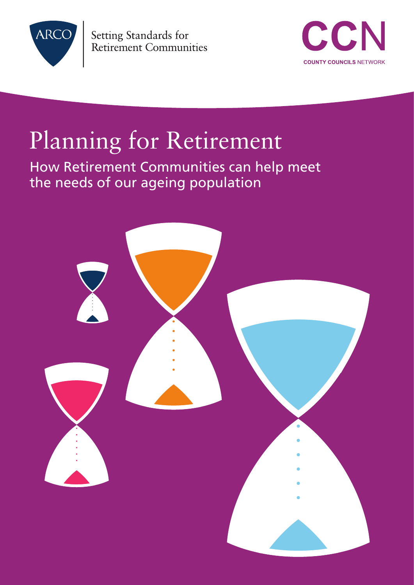

Setting Standards for **Retirement Communities** 



# Planning for Retirement

How Retirement Communities can help meet the needs of our ageing population

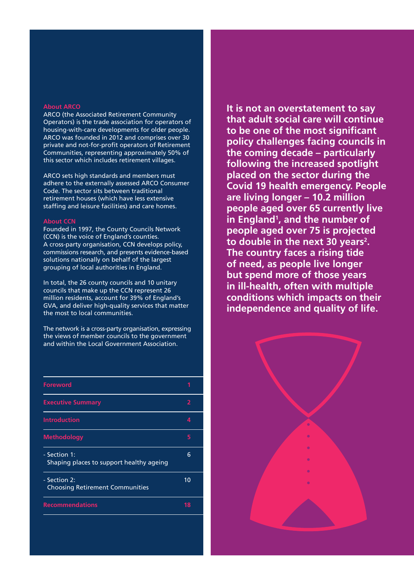#### **About ARCO**

ARCO (the Associated Retirement Community Operators) is the trade association for operators of housing-with-care developments for older people. ARCO was founded in 2012 and comprises over 30 private and not-for-profit operators of Retirement Communities, representing approximately 50% of this sector which includes retirement villages.

ARCO sets high standards and members must adhere to the externally assessed ARCO Consumer Code. The sector sits between traditional retirement houses (which have less extensive staffing and leisure facilities) and care homes.

#### **About CCN**

Founded in 1997, the County Councils Network (CCN) is the voice of England's counties. A cross-party organisation, CCN develops policy, commissions research, and presents evidence-based solutions nationally on behalf of the largest grouping of local authorities in England.

In total, the 26 county councils and 10 unitary councils that make up the CCN represent 26 million residents, account for 39% of England's GVA, and deliver high-quality services that matter the most to local communities.

The network is a cross-party organisation, expressing the views of member councils to the government and within the Local Government Association.

| <b>Foreword</b>                                          |    |
|----------------------------------------------------------|----|
| <b>Executive Summary</b>                                 | 2  |
| <b>Introduction</b>                                      |    |
| <b>Methodology</b>                                       | 5  |
| - Section 1:<br>Shaping places to support healthy ageing | 6  |
| - Section 2:<br><b>Choosing Retirement Communities</b>   | 10 |
| <b>Recommendations</b>                                   | 18 |
|                                                          |    |

**It is not an overstatement to say that adult social care will continue to be one of the most significant policy challenges facing councils in the coming decade – particularly following the increased spotlight placed on the sector during the Covid 19 health emergency. People are living longer – 10.2 million people aged over 65 currently live in England1 , and the number of people aged over 75 is projected to double in the next 30 years2 . The country faces a rising tide of need, as people live longer but spend more of those years in ill-health, often with multiple conditions which impacts on their independence and quality of life.**

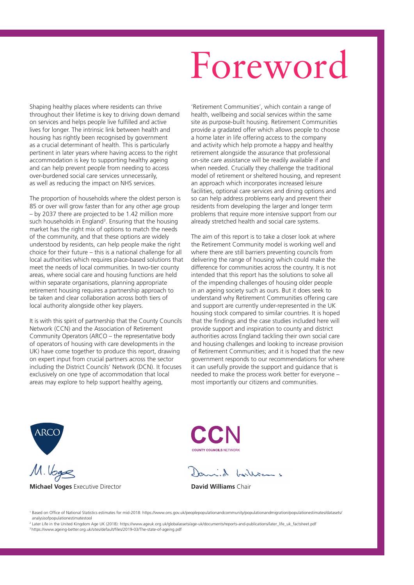# Foreword

Shaping healthy places where residents can thrive throughout their lifetime is key to driving down demand on services and helps people live fulfilled and active lives for longer. The intrinsic link between health and housing has rightly been recognised by government as a crucial determinant of health. This is particularly pertinent in later years where having access to the right accommodation is key to supporting healthy ageing and can help prevent people from needing to access over-burdened social care services unnecessarily, as well as reducing the impact on NHS services.

The proportion of households where the oldest person is 85 or over will grow faster than for any other age group – by 2037 there are projected to be 1.42 million more such households in England<sup>3</sup>. Ensuring that the housing market has the right mix of options to match the needs of the community, and that these options are widely understood by residents, can help people make the right choice for their future – this is a national challenge for all local authorities which requires place-based solutions that meet the needs of local communities. In two-tier county areas, where social care and housing functions are held within separate organisations, planning appropriate retirement housing requires a partnership approach to be taken and clear collaboration across both tiers of local authority alongside other key players.

It is with this spirit of partnership that the County Councils Network (CCN) and the Association of Retirement Community Operators (ARCO – the representative body of operators of housing with care developments in the UK) have come together to produce this report, drawing on expert input from crucial partners across the sector including the District Councils' Network (DCN). It focuses exclusively on one type of accommodation that local areas may explore to help support healthy ageing,

'Retirement Communities', which contain a range of health, wellbeing and social services within the same site as purpose-built housing. Retirement Communities provide a gradated offer which allows people to choose a home later in life offering access to the company and activity which help promote a happy and healthy retirement alongside the assurance that professional on-site care assistance will be readily available if and when needed. Crucially they challenge the traditional model of retirement or sheltered housing, and represent an approach which incorporates increased leisure facilities, optional care services and dining options and so can help address problems early and prevent their residents from developing the larger and longer term problems that require more intensive support from our already stretched health and social care systems.

The aim of this report is to take a closer look at where the Retirement Community model is working well and where there are still barriers preventing councils from delivering the range of housing which could make the difference for communities across the country. It is not intended that this report has the solutions to solve all of the impending challenges of housing older people in an ageing society such as ours. But it does seek to understand why Retirement Communities offering care and support are currently under-represented in the UK housing stock compared to similar countries. It is hoped that the findings and the case studies included here will provide support and inspiration to county and district authorities across England tackling their own social care and housing challenges and looking to increase provision of Retirement Communities; and it is hoped that the new government responds to our recommendations for where it can usefully provide the support and guidance that is needed to make the process work better for everyone – most importantly our citizens and communities.



**Michael Voges** Executive Director **David Williams** Chair

COUNTY COUNCILS NETWORK

anid buillion

<sup>1</sup> Based on Office of National Statistics estimates for mid-2018: https://www.ons.gov.uk/peoplepopulationandcommunity/populationandmigration/populationestimates/datasets/ analysisofpopulationestimatestool

2 Later Life in the United Kingdom Age UK (2018): https://www.ageuk.org.uk/globalassets/age-uk/documents/reports-and-publications/later\_life\_uk\_factsheet.pdf 3 https://www.ageing-better.org.uk/sites/default/files/2019-03/The-state-of-ageing.pdf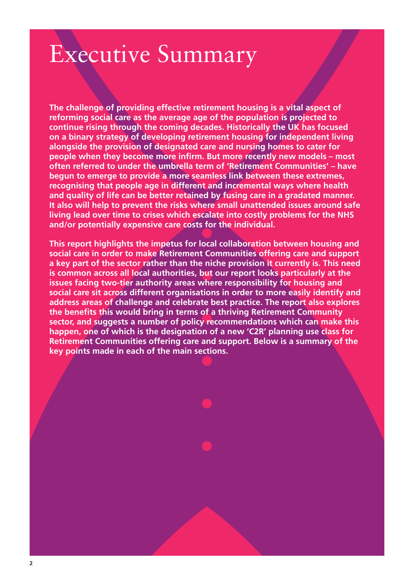# Executive Summary

**The challenge of providing effective retirement housing is a vital aspect of reforming social care as the average age of the population is projected to continue rising through the coming decades. Historically the UK has focused on a binary strategy of developing retirement housing for independent living alongside the provision of designated care and nursing homes to cater for people when they become more infirm. But more recently new models – most often referred to under the umbrella term of 'Retirement Communities' – have begun to emerge to provide a more seamless link between these extremes, recognising that people age in different and incremental ways where health and quality of life can be better retained by fusing care in a gradated manner. It also will help to prevent the risks where small unattended issues around safe living lead over time to crises which escalate into costly problems for the NHS and/or potentially expensive care costs for the individual.**

**This report highlights the impetus for local collaboration between housing and social care in order to make Retirement Communities offering care and support a key part of the sector rather than the niche provision it currently is. This need is common across all local authorities, but our report looks particularly at the issues facing two-tier authority areas where responsibility for housing and social care sit across different organisations in order to more easily identify and address areas of challenge and celebrate best practice. The report also explores the benefits this would bring in terms of a thriving Retirement Community sector, and suggests a number of policy recommendations which can make this happen, one of which is the designation of a new 'C2R' planning use class for Retirement Communities offering care and support. Below is a summary of the key points made in each of the main sections.**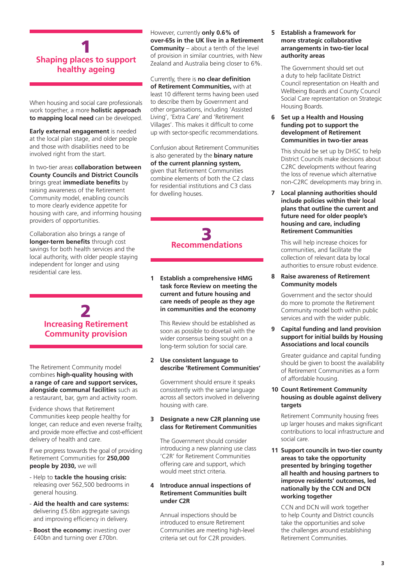# 1 **Shaping places to support healthy ageing**

When housing and social care professionals work together, a more **holistic approach to mapping local need** can be developed.

**Early external engagement** is needed at the local plan stage, and older people and those with disabilities need to be involved right from the start.

In two-tier areas **collaboration between County Councils and District Councils** brings great **immediate benefits** by raising awareness of the Retirement Community model, enabling councils to more clearly evidence appetite for housing with care, and informing housing providers of opportunities.

Collaboration also brings a range of **longer-term benefits** through cost savings for both health services and the local authority, with older people staying independent for longer and using residential care less.

# 2 **Increasing Retirement Community provision**

The Retirement Community model combines **high-quality housing with a range of care and support services, alongside communal facilities** such as a restaurant, bar, gym and activity room.

Evidence shows that Retirement Communities keep people healthy for longer, can reduce and even reverse frailty, and provide more effective and cost-efficient delivery of health and care.

If we progress towards the goal of providing Retirement Communities for **250,000 people by 2030,** we will

- Help to **tackle the housing crisis:** releasing over 562,500 bedrooms in general housing.
- **Aid the health and care systems:** delivering £5.6bn aggregate savings and improving efficiency in delivery.
- **Boost the economy:** investing over £40bn and turning over £70bn.

However, currently **only 0.6% of over-65s in the UK live in a Retirement Community** – about a tenth of the level of provision in similar countries, with New Zealand and Australia being closer to 6%.

Currently, there is **no clear definition of Retirement Communities,** with at least 10 different terms having been used to describe them by Government and other organisations, including 'Assisted Living', 'Extra Care' and 'Retirement Villages'. This makes it difficult to come up with sector-specific recommendations.

Confusion about Retirement Communities is also generated by the **binary nature of the current planning system,** given that Retirement Communities combine elements of both the C2 class for residential institutions and C3 class for dwelling houses.

# 3 **Recommendations**

**1 Establish a comprehensive HMG task force Review on meeting the current and future housing and care needs of people as they age in communities and the economy**

 This Review should be established as soon as possible to dovetail with the wider consensus being sought on a long-term solution for social care.

# **2 Use consistent language to describe 'Retirement Communities'**

 Government should ensure it speaks consistently with the same language across all sectors involved in delivering housing with care.

# **3 Designate a new C2R planning use class for Retirement Communities**

 The Government should consider introducing a new planning use class 'C2R' for Retirement Communities offering care and support, which would meet strict criteria.

# **4 Introduce annual inspections of Retirement Communities built under C2R**

 Annual inspections should be introduced to ensure Retirement Communities are meeting high-level criteria set out for C2R providers.

### **5 Establish a framework for more strategic collaborative arrangements in two-tier local authority areas**

 The Government should set out a duty to help facilitate District Council representation on Health and Wellbeing Boards and County Council Social Care representation on Strategic Housing Boards.

### **6 Set up a Health and Housing funding pot to support the development of Retirement Communities in two-tier areas**

 This should be set up by DHSC to help District Councils make decisions about C2RC developments without fearing the loss of revenue which alternative non-C2RC developments may bring in.

**7 Local planning authorities should include policies within their local plans that outline the current and future need for older people's housing and care, including Retirement Communities**

 This will help increase choices for communities, and facilitate the collection of relevant data by local authorities to ensure robust evidence.

### **8 Raise awareness of Retirement Community models**

 Government and the sector should do more to promote the Retirement Community model both within public services and with the wider public.

**9 Capital funding and land provision support for initial builds by Housing Associations and local councils** 

 Greater guidance and capital funding should be given to boost the availability of Retirement Communities as a form of affordable housing.

# **10 Count Retirement Community housing as double against delivery targets**

 Retirement Community housing frees up larger houses and makes significant contributions to local infrastructure and social care.

**11 Support councils in two-tier county areas to take the opportunity presented by bringing together all health and housing partners to improve residents' outcomes, led nationally by the CCN and DCN working together**

 CCN and DCN will work together to help County and District councils take the opportunities and solve the challenges around establishing Retirement Communities.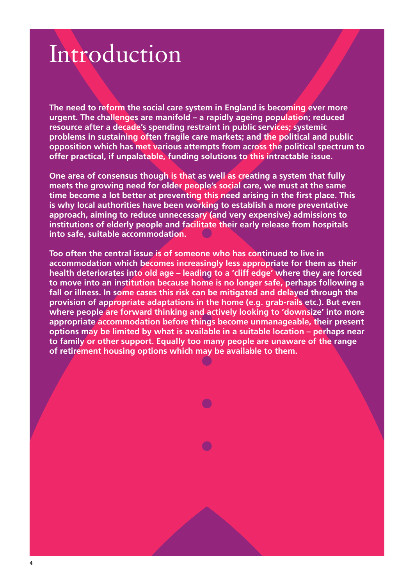# Introduction

**The need to reform the social care system in England is becoming ever more urgent. The challenges are manifold – a rapidly ageing population; reduced resource after a decade's spending restraint in public services; systemic problems in sustaining often fragile care markets; and the political and public opposition which has met various attempts from across the political spectrum to offer practical, if unpalatable, funding solutions to this intractable issue.**

**One area of consensus though is that as well as creating a system that fully meets the growing need for older people's social care, we must at the same time become a lot better at preventing this need arising in the first place. This is why local authorities have been working to establish a more preventative approach, aiming to reduce unnecessary (and very expensive) admissions to institutions of elderly people and facilitate their early release from hospitals into safe, suitable accommodation.**

**Too often the central issue is of someone who has continued to live in accommodation which becomes increasingly less appropriate for them as their health deteriorates into old age – leading to a 'cliff edge' where they are forced to move into an institution because home is no longer safe, perhaps following a fall or illness. In some cases this risk can be mitigated and delayed through the provision of appropriate adaptations in the home (e.g. grab-rails etc.). But even where people are forward thinking and actively looking to 'downsize' into more appropriate accommodation before things become unmanageable, their present options may be limited by what is available in a suitable location – perhaps near to family or other support. Equally too many people are unaware of the range of retirement housing options which may be available to them.**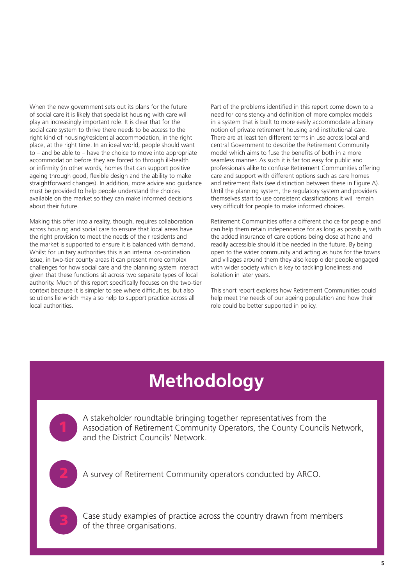When the new government sets out its plans for the future of social care it is likely that specialist housing with care will play an increasingly important role. It is clear that for the social care system to thrive there needs to be access to the right kind of housing/residential accommodation, in the right place, at the right time. In an ideal world, people should want to – and be able to – have the choice to move into appropriate accommodation before they are forced to through ill-health or infirmity (in other words, homes that can support positive ageing through good, flexible design and the ability to make straightforward changes). In addition, more advice and guidance must be provided to help people understand the choices available on the market so they can make informed decisions about their future.

Making this offer into a reality, though, requires collaboration across housing and social care to ensure that local areas have the right provision to meet the needs of their residents and the market is supported to ensure it is balanced with demand. Whilst for unitary authorities this is an internal co-ordination issue, in two-tier county areas it can present more complex challenges for how social care and the planning system interact given that these functions sit across two separate types of local authority. Much of this report specifically focuses on the two-tier context because it is simpler to see where difficulties, but also solutions lie which may also help to support practice across all local authorities.

Part of the problems identified in this report come down to a need for consistency and definition of more complex models in a system that is built to more easily accommodate a binary notion of private retirement housing and institutional care. There are at least ten different terms in use across local and central Government to describe the Retirement Community model which aims to fuse the benefits of both in a more seamless manner. As such it is far too easy for public and professionals alike to confuse Retirement Communities offering care and support with different options such as care homes and retirement flats (see distinction between these in Figure A). Until the planning system, the regulatory system and providers themselves start to use consistent classifications it will remain very difficult for people to make informed choices.

Retirement Communities offer a different choice for people and can help them retain independence for as long as possible, with the added insurance of care options being close at hand and readily accessible should it be needed in the future. By being open to the wider community and acting as hubs for the towns and villages around them they also keep older people engaged with wider society which is key to tackling loneliness and isolation in later years.

This short report explores how Retirement Communities could help meet the needs of our ageing population and how their role could be better supported in policy.

# **Methodology**

A stakeholder roundtable bringing together representatives from the Association of Retirement Community Operators, the County Councils Network, and the District Councils' Network.

2 A survey of Retirement Community operators conducted by ARCO.

Case study examples of practice across the country drawn from members of the three organisations.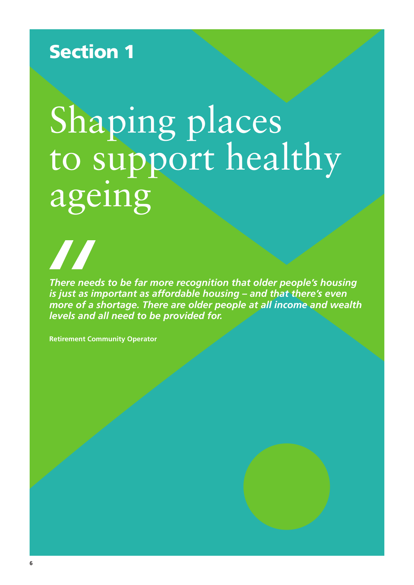# Section 1

# Shaping places to support healthy ageing

*There needs to be far more recognition that older people's housing is just as important as affordable housing – and that there's even more of a shortage. There are older people at all income and wealth levels and all need to be provided for.*

**Retirement Community Operator**

**A A** 

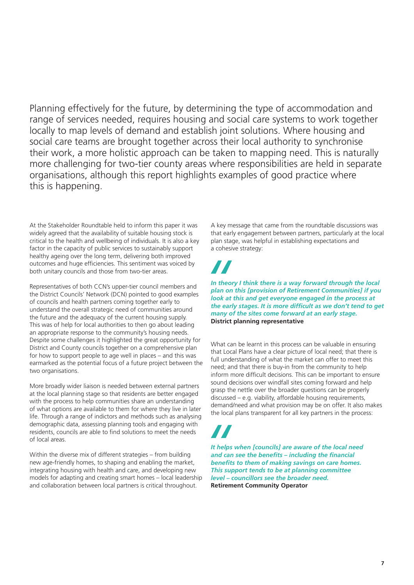Planning effectively for the future, by determining the type of accommodation and range of services needed, requires housing and social care systems to work together locally to map levels of demand and establish joint solutions. Where housing and social care teams are brought together across their local authority to synchronise their work, a more holistic approach can be taken to mapping need. This is naturally more challenging for two-tier county areas where responsibilities are held in separate organisations, although this report highlights examples of good practice where this is happening.

At the Stakeholder Roundtable held to inform this paper it was widely agreed that the availability of suitable housing stock is critical to the health and wellbeing of individuals. It is also a key factor in the capacity of public services to sustainably support healthy ageing over the long term, delivering both improved outcomes and huge efficiencies. This sentiment was voiced by both unitary councils and those from two-tier areas.

Representatives of both CCN's upper-tier council members and the District Councils' Network (DCN) pointed to good examples of councils and health partners coming together early to understand the overall strategic need of communities around the future and the adequacy of the current housing supply. This was of help for local authorities to then go about leading an appropriate response to the community's housing needs. Despite some challenges it highlighted the great opportunity for District and County councils together on a comprehensive plan for how to support people to age well in places – and this was earmarked as the potential focus of a future project between the two organisations.

More broadly wider liaison is needed between external partners at the local planning stage so that residents are better engaged with the process to help communities share an understanding of what options are available to them for where they live in later life. Through a range of indictors and methods such as analysing demographic data, assessing planning tools and engaging with residents, councils are able to find solutions to meet the needs of local areas.

Within the diverse mix of different strategies – from building new age-friendly homes, to shaping and enabling the market, integrating housing with health and care, and developing new models for adapting and creating smart homes – local leadership and collaboration between local partners is critical throughout.

A key message that came from the roundtable discussions was that early engagement between partners, particularly at the local plan stage, was helpful in establishing expectations and a cohesive strategy:

*In theory I think there is a way forward through the local plan on this [provision of Retirement Communities] if you look at this and get everyone engaged in the process at the early stages. It is more difficult as we don't tend to get many of the sites come forward at an early stage.* **District planning representative**

What can be learnt in this process can be valuable in ensuring that Local Plans have a clear picture of local need; that there is full understanding of what the market can offer to meet this need; and that there is buy-in from the community to help inform more difficult decisions. This can be important to ensure sound decisions over windfall sites coming forward and help grasp the nettle over the broader questions can be properly discussed – e.g. viability, affordable housing requirements, demand/need and what provision may be on offer. It also makes the local plans transparent for all key partners in the process:

*It helps when [councils] are aware of the local need and can see the benefits – including the financial benefits to them of making savings on care homes. This support tends to be at planning committee level – councillors see the broader need.* **Retirement Community Operator**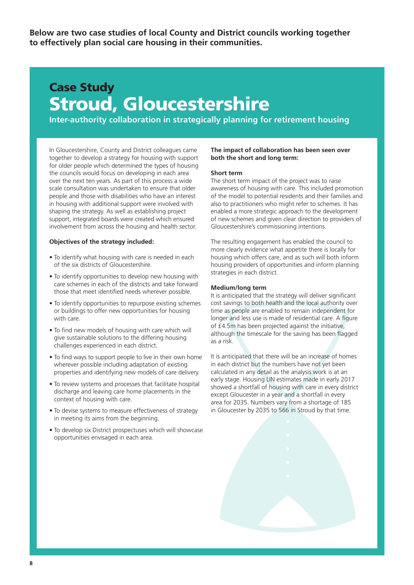**Below are two case studies of local County and District councils working together to effectively plan social care housing in their communities.**

# Case Study Stroud, Gloucestershire

**Inter-authority collaboration in strategically planning for retirement housing**

In Gloucestershire, County and District colleagues came together to develop a strategy for housing with support for older people which determined the types of housing the councils would focus on developing in each area over the next ten years. As part of this process a wide scale consultation was undertaken to ensure that older people and those with disabilities who have an interest in housing with additional support were involved with shaping the strategy. As well as establishing project support, integrated boards were created which ensured involvement from across the housing and health sector.

#### **Objectives of the strategy included:**

- To identify what housing with care is needed in each of the six districts of Gloucestershire.
- To identify opportunities to develop new housing with care schemes in each of the districts and take forward those that meet identified needs wherever possible.
- To identify opportunities to repurpose existing schemes or buildings to offer new opportunities for housing with care.
- To find new models of housing with care which will give sustainable solutions to the differing housing challenges experienced in each district.
- To find ways to support people to live in their own home wherever possible including adaptation of existing properties and identifying new models of care delivery.
- To review systems and processes that facilitate hospital discharge and leaving care home placements in the context of housing with care.
- To devise systems to measure effectiveness of strategy in meeting its aims from the beginning.
- To develop six District prospectuses which will showcase opportunities envisaged in each area.

### **The impact of collaboration has been seen over both the short and long term:**

#### **Short term**

The short term impact of the project was to raise awareness of housing with care. This included promotion of the model to potential residents and their families and also to practitioners who might refer to schemes. It has enabled a more strategic approach to the development of new schemes and given clear direction to providers of Gloucestershire's commissioning intentions.

The resulting engagement has enabled the council to more clearly evidence what appetite there is locally for housing which offers care, and as such will both inform housing providers of opportunities and inform planning strategies in each district.

#### **Medium/long term**

It is anticipated that the strategy will deliver significant cost savings to both health and the local authority over time as people are enabled to remain independent for longer and less use is made of residential care. A figure of £4.5m has been projected against the initiative, although the timescale for the saving has been flagged as a risk.

It is anticipated that there will be an increase of homes in each district but the numbers have not yet been calculated in any detail as the analysis work is at an early stage. Housing LIN estimates made in early 2017 showed a shortfall of housing with care in every district except Gloucester in a year and a shortfall in every area for 2035. Numbers vary from a shortage of 185 in Gloucester by 2035 to 566 in Stroud by that time.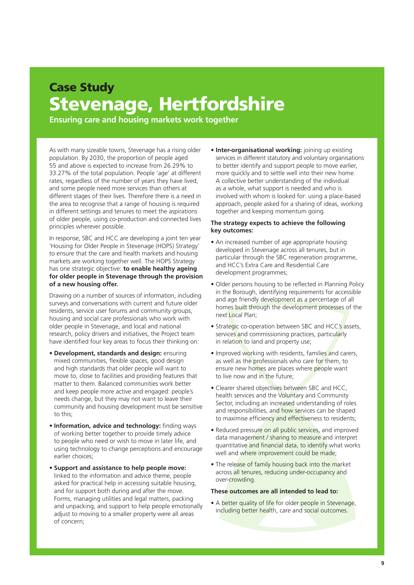# Case Study Stevenage, Hertfordshire

**Ensuring care and housing markets work together**

As with many sizeable towns, Stevenage has a rising older population. By 2030, the proportion of people aged 55 and above is expected to increase from 26.29% to 33.27% of the total population. People 'age' at different rates, regardless of the number of years they have lived, and some people need more services than others at different stages of their lives. Therefore there is a need in the area to recognise that a range of housing is required in different settings and tenures to meet the aspirations of older people, using co-production and connected lives principles wherever possible.

In response, SBC and HCC are developing a joint ten year 'Housing for Older People in Stevenage (HOPS) Strategy' to ensure that the care and health markets and housing markets are working together well. The HOPS Strategy has one strategic objective: **to enable healthy ageing for older people in Stevenage through the provision of a new housing offer.**

Drawing on a number of sources of information, including surveys and conversations with current and future older residents, service user forums and community groups, housing and social care professionals who work with older people in Stevenage, and local and national research, policy drivers and initiatives, the Project team have identified four key areas to focus their thinking on:

- **Development, standards and design:** ensuring mixed communities, flexible spaces, good design and high standards that older people will want to move to, close to facilities and providing features that matter to them. Balanced communities work better and keep people more active and engaged: people's needs change, but they may not want to leave their community and housing development must be sensitive to this;
- **Information, advice and technology:** finding ways of working better together to provide timely advice to people who need or wish to move in later life, and using technology to change perceptions and encourage earlier choices;
- **Support and assistance to help people move:** linked to the information and advice theme, people asked for practical help in accessing suitable housing, and for support both during and after the move. Forms, managing utilities and legal matters, packing and unpacking, and support to help people emotionally adjust to moving to a smaller property were all areas of concern;

• **Inter-organisational working:** joining up existing services in different statutory and voluntary organisations to better identify and support people to move earlier, more quickly and to settle well into their new home. A collective better understanding of the individual as a whole, what support is needed and who is involved with whom is looked for: using a place-based approach, people asked for a sharing of ideas, working together and keeping momentum going.

# **The strategy expects to achieve the following key outcomes:**

- An increased number of age appropriate housing developed in Stevenage across all tenures, but in particular through the SBC regeneration programme, and HCC's Extra Care and Residential Care development programmes;
- Older persons housing to be reflected in Planning Policy in the Borough, identifying requirements for accessible and age friendly development as a percentage of all homes built through the development processes of the next Local Plan;
- Strategic co-operation between SBC and HCC's assets, services and commissioning practices, particularly in relation to land and property use;
- Improved working with residents, families and carers, as well as the professionals who care for them, to ensure new homes are places where people want to live now and in the future;
- Clearer shared objectives between SBC and HCC, health services and the Voluntary and Community Sector, including an increased understanding of roles and responsibilities, and how services can be shaped to maximise efficiency and effectiveness to residents;
- Reduced pressure on all public services, and improved data management / sharing to measure and interpret quantitative and financial data, to identify what works well and where improvement could be made;
- The release of family housing back into the market across all tenures, reducing under-occupancy and over-crowding.

### **These outcomes are all intended to lead to:**

• A better quality of life for older people in Stevenage, including better health, care and social outcomes.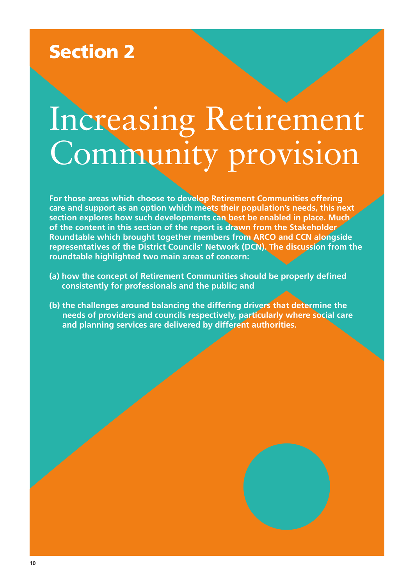# Section 2

# Increasing Retirement Community provision

**For those areas which choose to develop Retirement Communities offering care and support as an option which meets their population's needs, this next section explores how such developments can best be enabled in place. Much of the content in this section of the report is drawn from the Stakeholder Roundtable which brought together members from ARCO and CCN alongside representatives of the District Councils' Network (DCN). The discussion from the roundtable highlighted two main areas of concern:**

- **(a) how the concept of Retirement Communities should be properly defined consistently for professionals and the public; and**
- **(b) the challenges around balancing the differing drivers that determine the needs of providers and councils respectively, particularly where social care and planning services are delivered by different authorities.**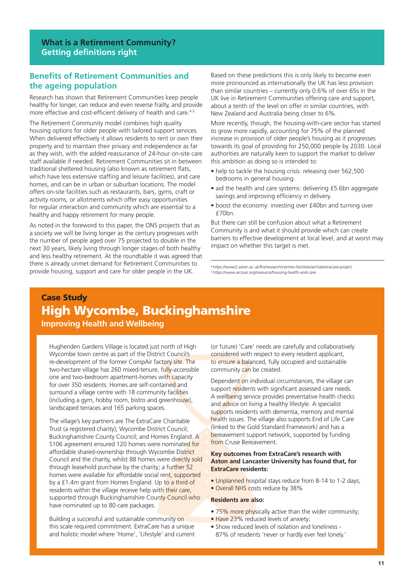# **Benefits of Retirement Communities and the ageing population**

Research has shown that Retirement Communities keep people healthy for longer, can reduce and even reverse frailty, and provide more effective and cost-efficient delivery of health and care.<sup>45</sup>

The Retirement Community model combines high quality housing options for older people with tailored support services. When delivered effectively it allows residents to rent or own their property and to maintain their privacy and independence as far as they wish, with the added reassurance of 24-hour on-site care staff available if needed. Retirement Communities sit in between traditional sheltered housing (also known as retirement flats, which have less extensive staffing and leisure facilities), and care homes, and can be in urban or suburban locations. The model offers on-site facilities such as restaurants, bars, gyms, craft or activity rooms, or allotments which offer easy opportunities for regular interaction and community which are essential to a healthy and happy retirement for many people.

As noted in the foreword to this paper, the ONS projects that as a society we will be living longer as the century progresses with the number of people aged over 75 projected to double in the next 30 years, likely living through longer stages of both healthy and less healthy retirement. At the roundtable it was agreed that there is already unmet demand for Retirement Communities to provide housing, support and care for older people in the UK.

Based on these predictions this is only likely to become even more pronounced as internationally the UK has less provision than similar countries – currently only 0.6% of over 65s in the UK live in Retirement Communities offering care and support, about a tenth of the level on offer in similar countries, with New Zealand and Australia being closer to 6%.

More recently, though, the housing-with-care sector has started to grow more rapidly, accounting for 75% of the planned increase in provision of older people's housing as it progresses towards its goal of providing for 250,000 people by 2030. Local authorities are naturally keen to support the market to deliver this ambition as doing so is intended to:

- help to tackle the housing crisis: releasing over 562,500 bedrooms in general housing.
- aid the health and care systems: delivering £5.6bn aggregate savings and improving efficiency in delivery.
- boost the economy: investing over £40bn and turning over  $f70hn$

But there can still be confusion about what a Retirement Community is and what it should provide which can create barriers to effective development at local level, and at worst may impact on whether this target is met.

4 https://www2.aston.ac.uk/lhs/research/centres-facilities/archa/extracare-project 5 https://www.arcouk.org/resource/housing-health-and-care

# Case Study High Wycombe, Buckinghamshire **Improving Health and Wellbeing**

Hughenden Gardens Village is located just north of High Wycombe town centre as part of the District Council's re-development of the former CompAir factory site. The two-hectare village has 260 mixed-tenure, fully-accessible one and two-bedroom apartment-homes with capacity for over 350 residents. Homes are self-contained and surround a village centre with 18 community facilities (including a gym, hobby room, bistro and greenhouse), landscaped terraces and 165 parking spaces.

The village's key partners are The ExtraCare Charitable Trust (a registered charity); Wycombe District Council; Buckinghamshire County Council; and Homes England. A S106 agreement ensured 120 homes were nominated for affordable shared-ownership through Wycombe District Council and the charity, whilst 88 homes were directly sold through leasehold purchase by the charity; a further 52 homes were available for affordable social rent, supported by a £1.4m grant from Homes England. Up to a third of residents within the village receive help with their care, supported through Buckinghamshire County Council who have nominated up to 80 care packages.

Building a successful and sustainable community on this scale required commitment. ExtraCare has a unique and holistic model where 'Home', 'Lifestyle' and current (or future) 'Care' needs are carefully and collaboratively considered with respect to every resident applicant, to ensure a balanced, fully occupied and sustainable community can be created.

Dependent on individual circumstances, the village can support residents with significant assessed care needs. A wellbeing service provides preventative health checks and advice on living a healthy lifestyle. A specialist supports residents with dementia, memory and mental health issues. The village also supports End of Life Care (linked to the Gold Standard Framework) and has a bereavement support network, supported by funding from Cruse Bereavement.

### **Key outcomes from ExtraCare's research with Aston and Lancaster University has found that, for ExtraCare residents:**

- Unplanned hospital stays reduce from 8-14 to 1-2 days;
- Overall NHS costs reduce by 38%

#### **Residents are also:**

- 75% more physically active than the wider community;
- Have 23% reduced levels of anxiety;
- Show reduced levels of isolation and loneliness 87% of residents 'never or hardly ever feel lonely.'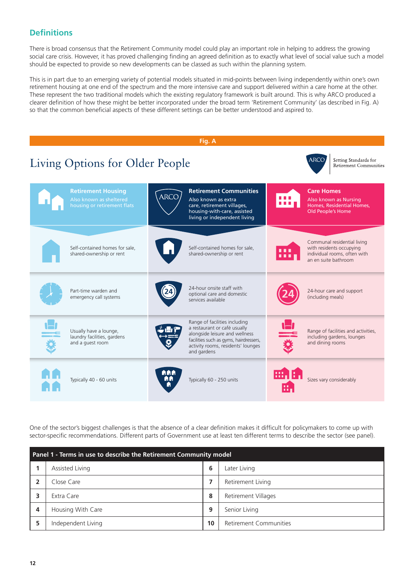# **Definitions**

There is broad consensus that the Retirement Community model could play an important role in helping to address the growing social care crisis. However, it has proved challenging finding an agreed definition as to exactly what level of social value such a model should be expected to provide so new developments can be classed as such within the planning system.

This is in part due to an emerging variety of potential models situated in mid-points between living independently within one's own retirement housing at one end of the spectrum and the more intensive care and support delivered within a care home at the other. These represent the two traditional models which the existing regulatory framework is built around. This is why ARCO produced a clearer definition of how these might be better incorporated under the broad term 'Retirement Community' (as described in Fig. A) so that the common beneficial aspects of these different settings can be better understood and aspired to.



One of the sector's biggest challenges is that the absence of a clear definition makes it difficult for policymakers to come up with sector-specific recommendations. Different parts of Government use at least ten different terms to describe the sector (see panel).

| Panel 1 - Terms in use to describe the Retirement Community model |                    |    |                        |  |
|-------------------------------------------------------------------|--------------------|----|------------------------|--|
|                                                                   | Assisted Living    | 6  | Later Living           |  |
|                                                                   | Close Care         |    | Retirement Living      |  |
|                                                                   | Extra Care         | 8  | Retirement Villages    |  |
| 4                                                                 | Housing With Care  | 9  | Senior Living          |  |
|                                                                   | Independent Living | 10 | Retirement Communities |  |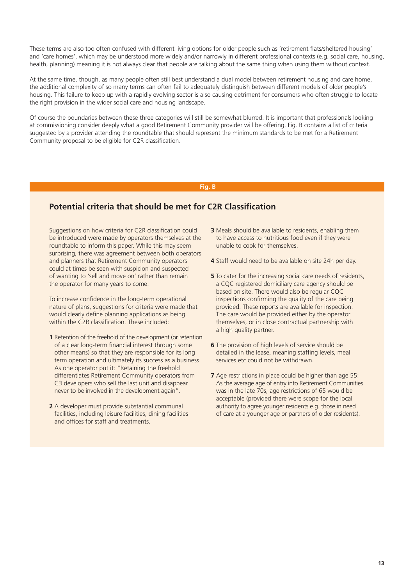These terms are also too often confused with different living options for older people such as 'retirement flats/sheltered housing' and 'care homes', which may be understood more widely and/or narrowly in different professional contexts (e.g. social care, housing, health, planning) meaning it is not always clear that people are talking about the same thing when using them without context.

At the same time, though, as many people often still best understand a dual model between retirement housing and care home, the additional complexity of so many terms can often fail to adequately distinguish between different models of older people's housing. This failure to keep up with a rapidly evolving sector is also causing detriment for consumers who often struggle to locate the right provision in the wider social care and housing landscape.

Of course the boundaries between these three categories will still be somewhat blurred. It is important that professionals looking at commissioning consider deeply what a good Retirement Community provider will be offering. Fig. B contains a list of criteria suggested by a provider attending the roundtable that should represent the minimum standards to be met for a Retirement Community proposal to be eligible for C2R classification.

#### **Fig. B**

# **Potential criteria that should be met for C2R Classification**

Suggestions on how criteria for C2R classification could be introduced were made by operators themselves at the roundtable to inform this paper. While this may seem surprising, there was agreement between both operators and planners that Retirement Community operators could at times be seen with suspicion and suspected of wanting to 'sell and move on' rather than remain the operator for many years to come.

To increase confidence in the long-term operational nature of plans, suggestions for criteria were made that would clearly define planning applications as being within the C2R classification. These included:

- **1** Retention of the freehold of the development (or retention of a clear long-term financial interest through some other means) so that they are responsible for its long term operation and ultimately its success as a business. As one operator put it: "Retaining the freehold differentiates Retirement Community operators from C3 developers who sell the last unit and disappear never to be involved in the development again".
- **2** A developer must provide substantial communal facilities, including leisure facilities, dining facilities and offices for staff and treatments.
- **3** Meals should be available to residents, enabling them to have access to nutritious food even if they were unable to cook for themselves.
- **4** Staff would need to be available on site 24h per day.
- **5** To cater for the increasing social care needs of residents, a CQC registered domiciliary care agency should be based on site. There would also be regular CQC inspections confirming the quality of the care being provided. These reports are available for inspection. The care would be provided either by the operator themselves, or in close contractual partnership with a high quality partner.
- **6** The provision of high levels of service should be detailed in the lease, meaning staffing levels, meal services etc could not be withdrawn.
- **7** Age restrictions in place could be higher than age 55: As the average age of entry into Retirement Communities was in the late 70s, age restrictions of 65 would be acceptable (provided there were scope for the local authority to agree younger residents e.g. those in need of care at a younger age or partners of older residents).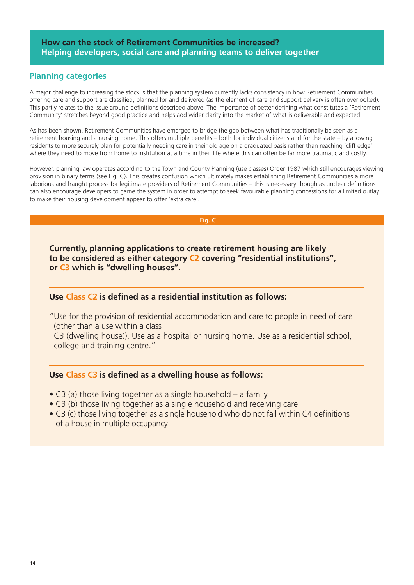# **Planning categories**

A major challenge to increasing the stock is that the planning system currently lacks consistency in how Retirement Communities offering care and support are classified, planned for and delivered (as the element of care and support delivery is often overlooked). This partly relates to the issue around definitions described above. The importance of better defining what constitutes a 'Retirement Community' stretches beyond good practice and helps add wider clarity into the market of what is deliverable and expected.

As has been shown, Retirement Communities have emerged to bridge the gap between what has traditionally be seen as a retirement housing and a nursing home. This offers multiple benefits – both for individual citizens and for the state – by allowing residents to more securely plan for potentially needing care in their old age on a graduated basis rather than reaching 'cliff edge' where they need to move from home to institution at a time in their life where this can often be far more traumatic and costly.

However, planning law operates according to the Town and County Planning (use classes) Order 1987 which still encourages viewing provision in binary terms (see Fig. C). This creates confusion which ultimately makes establishing Retirement Communities a more laborious and fraught process for legitimate providers of Retirement Communities – this is necessary though as unclear definitions can also encourage developers to game the system in order to attempt to seek favourable planning concessions for a limited outlay to make their housing development appear to offer 'extra care'.

 **Fig. C**

**Currently, planning applications to create retirement housing are likely to be considered as either category C2 covering "residential institutions", or C3 which is "dwelling houses".**

# **Use Class C2 is defined as a residential institution as follows:**

"Use for the provision of residential accommodation and care to people in need of care (other than a use within a class

C3 (dwelling house)). Use as a hospital or nursing home. Use as a residential school, college and training centre."

# **Use Class C3 is defined as a dwelling house as follows:**

- C3 (a) those living together as a single household a family
- C3 (b) those living together as a single household and receiving care
- C3 (c) those living together as a single household who do not fall within C4 definitions of a house in multiple occupancy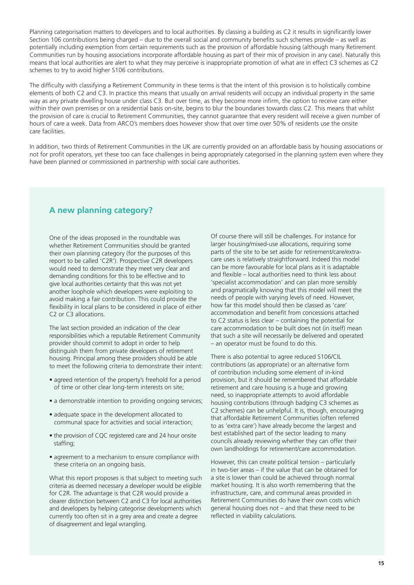Planning categorisation matters to developers and to local authorities. By classing a building as C2 it results in significantly lower Section 106 contributions being charged – due to the overall social and community benefits such schemes provide – as well as potentially including exemption from certain requirements such as the provision of affordable housing (although many Retirement Communities run by housing associations incorporate affordable housing as part of their mix of provision in any case). Naturally this means that local authorities are alert to what they may perceive is inappropriate promotion of what are in effect C3 schemes as C2 schemes to try to avoid higher S106 contributions.

The difficulty with classifying a Retirement Community in these terms is that the intent of this provision is to holistically combine elements of both C2 and C3. In practice this means that usually on arrival residents will occupy an individual property in the same way as any private dwelling house under class C3. But over time, as they become more infirm, the option to receive care either within their own premises or on a residential basis on-site, begins to blur the boundaries towards class C2. This means that whilst the provision of care is crucial to Retirement Communities, they cannot guarantee that every resident will receive a given number of hours of care a week. Data from ARCO's members does however show that over time over 50% of residents use the onsite care facilities.

In addition, two thirds of Retirement Communities in the UK are currently provided on an affordable basis by housing associations or not for profit operators, yet these too can face challenges in being appropriately categorised in the planning system even where they have been planned or commissioned in partnership with social care authorities.

# **A new planning category?**

One of the ideas proposed in the roundtable was whether Retirement Communities should be granted their own planning category (for the purposes of this report to be called 'C2R'). Prospective C2R developers would need to demonstrate they meet very clear and demanding conditions for this to be effective and to give local authorities certainty that this was not yet another loophole which developers were exploiting to avoid making a fair contribution. This could provide the flexibility in local plans to be considered in place of either C2 or C3 allocations.

The last section provided an indication of the clear responsibilities which a reputable Retirement Community provider should commit to adopt in order to help distinguish them from private developers of retirement housing. Principal among these providers should be able to meet the following criteria to demonstrate their intent:

- agreed retention of the property's freehold for a period of time or other clear long-term interests on site;
- a demonstrable intention to providing ongoing services;
- adequate space in the development allocated to communal space for activities and social interaction;
- the provision of CQC registered care and 24 hour onsite staffing;
- agreement to a mechanism to ensure compliance with these criteria on an ongoing basis.

What this report proposes is that subject to meeting such criteria as deemed necessary a developer would be eligible for C2R. The advantage is that C2R would provide a clearer distinction between C2 and C3 for local authorities and developers by helping categorise developments which currently too often sit in a grey area and create a degree of disagreement and legal wrangling.

Of course there will still be challenges. For instance for larger housing/mixed-use allocations, requiring some parts of the site to be set aside for retirement/care/extracare uses is relatively straightforward. Indeed this model can be more favourable for local plans as it is adaptable and flexible – local authorities need to think less about 'specialist accommodation' and can plan more sensibly and pragmatically knowing that this model will meet the needs of people with varying levels of need. However, how far this model should then be classed as 'care' accommodation and benefit from concessions attached to C2 status is less clear – containing the potential for care accommodation to be built does not (in itself) mean that such a site will necessarily be delivered and operated – an operator must be found to do this.

There is also potential to agree reduced S106/CIL contributions (as appropriate) or an alternative form of contribution including some element of in-kind provision, but it should be remembered that affordable retirement and care housing is a huge and growing need, so inappropriate attempts to avoid affordable housing contributions (through badging C3 schemes as C2 schemes) can be unhelpful. It is, though, encouraging that affordable Retirement Communities (often referred to as 'extra care') have already become the largest and best established part of the sector leading to many councils already reviewing whether they can offer their own landholdings for retirement/care accommodation.

However, this can create political tension – particularly in two-tier areas – if the value that can be obtained for a site is lower than could be achieved through normal market housing. It is also worth remembering that the infrastructure, care, and communal areas provided in Retirement Communities do have their own costs which general housing does not – and that these need to be reflected in viability calculations.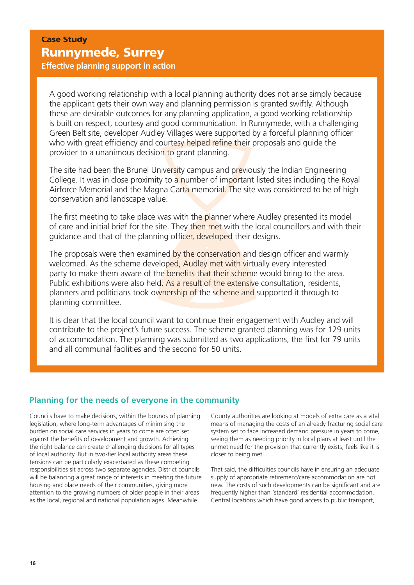Case Study Runnymede, Surrey

**Effective planning support in action**

A good working relationship with a local planning authority does not arise simply because the applicant gets their own way and planning permission is granted swiftly. Although these are desirable outcomes for any planning application, a good working relationship is built on respect, courtesy and good communication. In Runnymede, with a challenging Green Belt site, developer Audley Villages were supported by a forceful planning officer who with great efficiency and courtesy helped refine their proposals and guide the provider to a unanimous decision to grant planning.

The site had been the Brunel University campus and previously the Indian Engineering College. It was in close proximity to a number of important listed sites including the Royal Airforce Memorial and the Magna Carta memorial. The site was considered to be of high conservation and landscape value.

The first meeting to take place was with the planner where Audley presented its model of care and initial brief for the site. They then met with the local councillors and with their guidance and that of the planning officer, developed their designs.

The proposals were then examined by the conservation and design officer and warmly welcomed. As the scheme developed, Audley met with virtually every interested party to make them aware of the benefits that their scheme would bring to the area. Public exhibitions were also held. As a result of the extensive consultation, residents, planners and politicians took ownership of the scheme and supported it through to planning committee.

It is clear that the local council want to continue their engagement with Audley and will contribute to the project's future success. The scheme granted planning was for 129 units of accommodation. The planning was submitted as two applications, the first for 79 units and all communal facilities and the second for 50 units.

# **Planning for the needs of everyone in the community**

Councils have to make decisions, within the bounds of planning legislation, where long-term advantages of minimising the burden on social care services in years to come are often set against the benefits of development and growth. Achieving the right balance can create challenging decisions for all types of local authority. But in two-tier local authority areas these tensions can be particularly exacerbated as these competing responsibilities sit across two separate agencies. District councils will be balancing a great range of interests in meeting the future housing and place needs of their communities, giving more attention to the growing numbers of older people in their areas as the local, regional and national population ages. Meanwhile

County authorities are looking at models of extra care as a vital means of managing the costs of an already fracturing social care system set to face increased demand pressure in years to come, seeing them as needing priority in local plans at least until the unmet need for the provision that currently exists, feels like it is closer to being met.

That said, the difficulties councils have in ensuring an adequate supply of appropriate retirement/care accommodation are not new. The costs of such developments can be significant and are frequently higher than 'standard' residential accommodation. Central locations which have good access to public transport,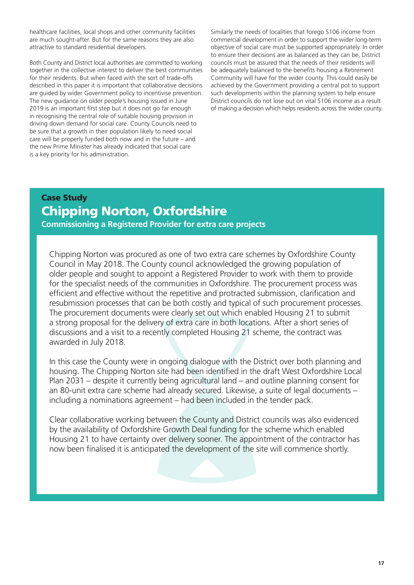healthcare facilities, local shops and other community facilities are much sought-after. But for the same reasons they are also attractive to standard residential developers.

Both County and District local authorities are committed to working together in the collective interest to deliver the best communities for their residents. But when faced with the sort of trade-offs described in this paper it is important that collaborative decisions are guided by wider Government policy to incentivise prevention. The new guidance on older people's housing issued in June 2019 is an important first step but it does not go far enough in recognising the central role of suitable housing provision in driving down demand for social care. County Councils need to be sure that a growth in their population likely to need social care will be properly funded both now and in the future – and the new Prime Minister has already indicated that social care is a key priority for his administration.

Similarly the needs of localities that forego S106 income from commercial development in order to support the wider long-term objective of social care must be supported appropriately. In order to ensure their decisions are as balanced as they can be, District councils must be assured that the needs of their residents will be adequately balanced to the benefits housing a Retirement Community will have for the wider county. This could easily be achieved by the Government providing a central pot to support such developments within the planning system to help ensure District councils do not lose out on vital S106 income as a result of making a decision which helps residents across the wider county.

# Case Study Chipping Norton, Oxfordshire

**Commissioning a Registered Provider for extra care projects**

Chipping Norton was procured as one of two extra care schemes by Oxfordshire County Council in May 2018. The County council acknowledged the growing population of older people and sought to appoint a Registered Provider to work with them to provide for the specialist needs of the communities in Oxfordshire. The procurement process was efficient and effective without the repetitive and protracted submission, clarification and resubmission processes that can be both costly and typical of such procurement processes. The procurement documents were clearly set out which enabled Housing 21 to submit a strong proposal for the delivery of extra care in both locations. After a short series of discussions and a visit to a recently completed Housing 21 scheme, the contract was awarded in July 2018.

In this case the County were in ongoing dialogue with the District over both planning and housing. The Chipping Norton site had been identified in the draft West Oxfordshire Local Plan 2031 – despite it currently being agricultural land – and outline planning consent for an 80-unit extra care scheme had already secured. Likewise, a suite of legal documents – including a nominations agreement – had been included in the tender pack.

Clear collaborative working between the County and District councils was also evidenced by the availability of Oxfordshire Growth Deal funding for the scheme which enabled Housing 21 to have certainty over delivery sooner. The appointment of the contractor has now been finalised it is anticipated the development of the site will commence shortly.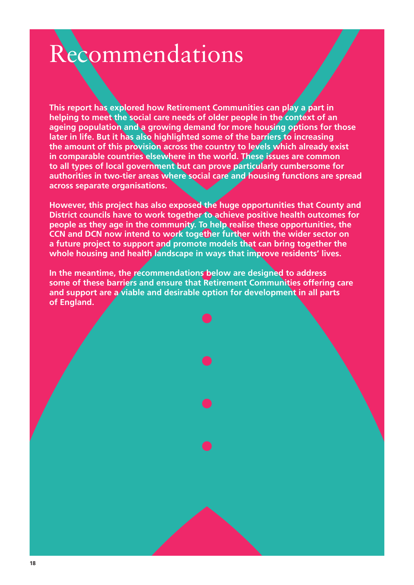# Recommendations

**This report has explored how Retirement Communities can play a part in helping to meet the social care needs of older people in the context of an ageing population and a growing demand for more housing options for those later in life. But it has also highlighted some of the barriers to increasing the amount of this provision across the country to levels which already exist in comparable countries elsewhere in the world. These issues are common to all types of local government but can prove particularly cumbersome for authorities in two-tier areas where social care and housing functions are spread across separate organisations.**

**However, this project has also exposed the huge opportunities that County and District councils have to work together to achieve positive health outcomes for people as they age in the community. To help realise these opportunities, the CCN and DCN now intend to work together further with the wider sector on a future project to support and promote models that can bring together the whole housing and health landscape in ways that improve residents' lives.**

**In the meantime, the recommendations below are designed to address some of these barriers and ensure that Retirement Communities offering care and support are a viable and desirable option for development in all parts of England.**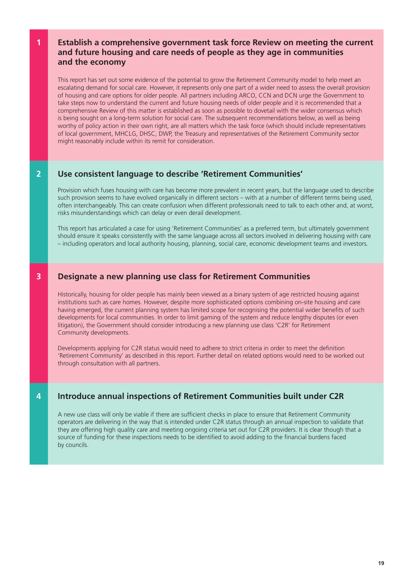# **1 Establish a comprehensive government task force Review on meeting the current and future housing and care needs of people as they age in communities and the economy**

This report has set out some evidence of the potential to grow the Retirement Community model to help meet an escalating demand for social care. However, it represents only one part of a wider need to assess the overall provision of housing and care options for older people. All partners including ARCO, CCN and DCN urge the Government to take steps now to understand the current and future housing needs of older people and it is recommended that a comprehensive Review of this matter is established as soon as possible to dovetail with the wider consensus which is being sought on a long-term solution for social care. The subsequent recommendations below, as well as being worthy of policy action in their own right, are all matters which the task force (which should include representatives of local government, MHCLG, DHSC, DWP, the Treasury and representatives of the Retirement Community sector might reasonably include within its remit for consideration.

# **2 Use consistent language to describe 'Retirement Communities'**

Provision which fuses housing with care has become more prevalent in recent years, but the language used to describe such provision seems to have evolved organically in different sectors – with at a number of different terms being used, often interchangeably. This can create confusion when different professionals need to talk to each other and, at worst, risks misunderstandings which can delay or even derail development.

This report has articulated a case for using 'Retirement Communities' as a preferred term, but ultimately government should ensure it speaks consistently with the same language across all sectors involved in delivering housing with care – including operators and local authority housing, planning, social care, economic development teams and investors.

# **3 Designate a new planning use class for Retirement Communities**

Historically, housing for older people has mainly been viewed as a binary system of age restricted housing against institutions such as care homes. However, despite more sophisticated options combining on-site housing and care having emerged, the current planning system has limited scope for recognising the potential wider benefits of such developments for local communities. In order to limit gaming of the system and reduce lengthy disputes (or even litigation), the Government should consider introducing a new planning use class 'C2R' for Retirement Community developments.

Developments applying for C2R status would need to adhere to strict criteria in order to meet the definition 'Retirement Community' as described in this report. Further detail on related options would need to be worked out through consultation with all partners.

# **4 Introduce annual inspections of Retirement Communities built under C2R**

A new use class will only be viable if there are sufficient checks in place to ensure that Retirement Community operators are delivering in the way that is intended under C2R status through an annual inspection to validate that they are offering high quality care and meeting ongoing criteria set out for C2R providers. It is clear though that a source of funding for these inspections needs to be identified to avoid adding to the financial burdens faced by councils.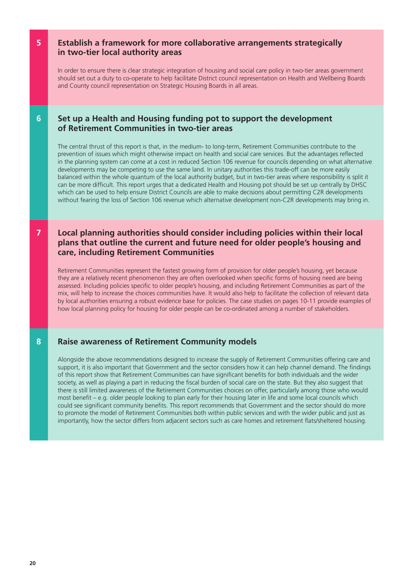# **5 Establish a framework for more collaborative arrangements strategically in two-tier local authority areas**

In order to ensure there is clear strategic integration of housing and social care policy in two-tier areas government should set out a duty to co-operate to help facilitate District council representation on Health and Wellbeing Boards and County council representation on Strategic Housing Boards in all areas.

# **6 Set up a Health and Housing funding pot to support the development of Retirement Communities in two-tier areas**

The central thrust of this report is that, in the medium- to long-term, Retirement Communities contribute to the prevention of issues which might otherwise impact on health and social care services. But the advantages reflected in the planning system can come at a cost in reduced Section 106 revenue for councils depending on what alternative developments may be competing to use the same land. In unitary authorities this trade-off can be more easily balanced within the whole quantum of the local authority budget, but in two-tier areas where responsibility is split it can be more difficult. This report urges that a dedicated Health and Housing pot should be set up centrally by DHSC which can be used to help ensure District Councils are able to make decisions about permitting C2R developments without fearing the loss of Section 106 revenue which alternative development non-C2R developments may bring in.

# **7 Local planning authorities should consider including policies within their local plans that outline the current and future need for older people's housing and care, including Retirement Communities**

Retirement Communities represent the fastest growing form of provision for older people's housing, yet because they are a relatively recent phenomenon they are often overlooked when specific forms of housing need are being assessed. Including policies specific to older people's housing, and including Retirement Communities as part of the mix, will help to increase the choices communities have. It would also help to facilitate the collection of relevant data by local authorities ensuring a robust evidence base for policies. The case studies on pages 10-11 provide examples of how local planning policy for housing for older people can be co-ordinated among a number of stakeholders.

# **8 Raise awareness of Retirement Community models**

Alongside the above recommendations designed to increase the supply of Retirement Communities offering care and support, it is also important that Government and the sector considers how it can help channel demand. The findings of this report show that Retirement Communities can have significant benefits for both individuals and the wider society, as well as playing a part in reducing the fiscal burden of social care on the state. But they also suggest that there is still limited awareness of the Retirement Communities choices on offer, particularly among those who would most benefit – e.g. older people looking to plan early for their housing later in life and some local councils which could see significant community benefits. This report recommends that Government and the sector should do more to promote the model of Retirement Communities both within public services and with the wider public and just as importantly, how the sector differs from adjacent sectors such as care homes and retirement flats/sheltered housing.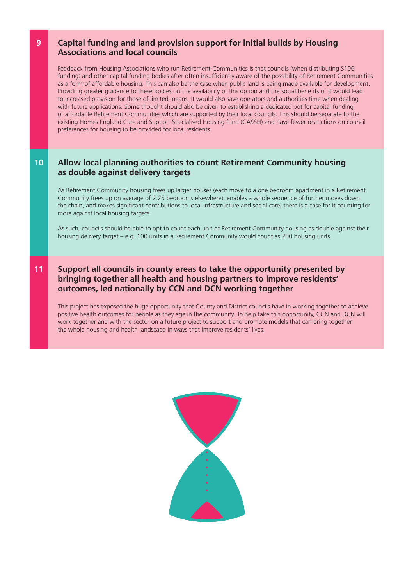# **9 Capital funding and land provision support for initial builds by Housing Associations and local councils**

Feedback from Housing Associations who run Retirement Communities is that councils (when distributing S106 funding) and other capital funding bodies after often insufficiently aware of the possibility of Retirement Communities as a form of affordable housing. This can also be the case when public land is being made available for development. Providing greater guidance to these bodies on the availability of this option and the social benefits of it would lead to increased provision for those of limited means. It would also save operators and authorities time when dealing with future applications. Some thought should also be given to establishing a dedicated pot for capital funding of affordable Retirement Communities which are supported by their local councils. This should be separate to the existing Homes England Care and Support Specialised Housing fund (CASSH) and have fewer restrictions on council preferences for housing to be provided for local residents.

# **10 Allow local planning authorities to count Retirement Community housing as double against delivery targets**

As Retirement Community housing frees up larger houses (each move to a one bedroom apartment in a Retirement Community frees up on average of 2.25 bedrooms elsewhere), enables a whole sequence of further moves down the chain, and makes significant contributions to local infrastructure and social care, there is a case for it counting for more against local housing targets.

As such, councils should be able to opt to count each unit of Retirement Community housing as double against their housing delivery target – e.g. 100 units in a Retirement Community would count as 200 housing units.

# **11 Support all councils in county areas to take the opportunity presented by bringing together all health and housing partners to improve residents' outcomes, led nationally by CCN and DCN working together**

This project has exposed the huge opportunity that County and District councils have in working together to achieve positive health outcomes for people as they age in the community. To help take this opportunity, CCN and DCN will work together and with the sector on a future project to support and promote models that can bring together the whole housing and health landscape in ways that improve residents' lives.